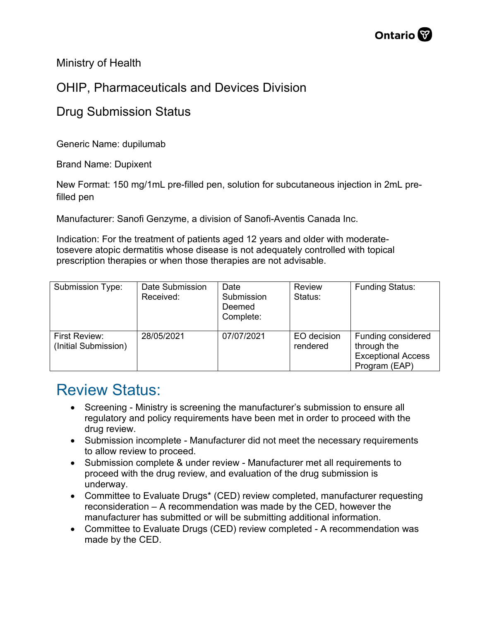Ministry of Health

## OHIP, Pharmaceuticals and Devices Division

## Drug Submission Status

Generic Name: dupilumab

Brand Name: Dupixent

New Format: 150 mg/1mL pre-filled pen, solution for subcutaneous injection in 2mL prefilled pen

Manufacturer: Sanofi Genzyme, a division of Sanofi-Aventis Canada Inc.

Indication: For the treatment of patients aged 12 years and older with moderatetosevere atopic dermatitis whose disease is not adequately controlled with topical prescription therapies or when those therapies are not advisable.

| Submission Type:                      | Date Submission<br>Received: | Date<br>Submission<br>Deemed<br>Complete: | <b>Review</b><br>Status: | <b>Funding Status:</b>                                                          |
|---------------------------------------|------------------------------|-------------------------------------------|--------------------------|---------------------------------------------------------------------------------|
| First Review:<br>(Initial Submission) | 28/05/2021                   | 07/07/2021                                | EO decision<br>rendered  | Funding considered<br>through the<br><b>Exceptional Access</b><br>Program (EAP) |

## Review Status:

- Screening Ministry is screening the manufacturer's submission to ensure all regulatory and policy requirements have been met in order to proceed with the drug review.
- Submission incomplete Manufacturer did not meet the necessary requirements to allow review to proceed.
- Submission complete & under review Manufacturer met all requirements to proceed with the drug review, and evaluation of the drug submission is underway.
- Committee to Evaluate Drugs\* (CED) review completed, manufacturer requesting reconsideration – A recommendation was made by the CED, however the manufacturer has submitted or will be submitting additional information.
- Committee to Evaluate Drugs (CED) review completed A recommendation was made by the CED.